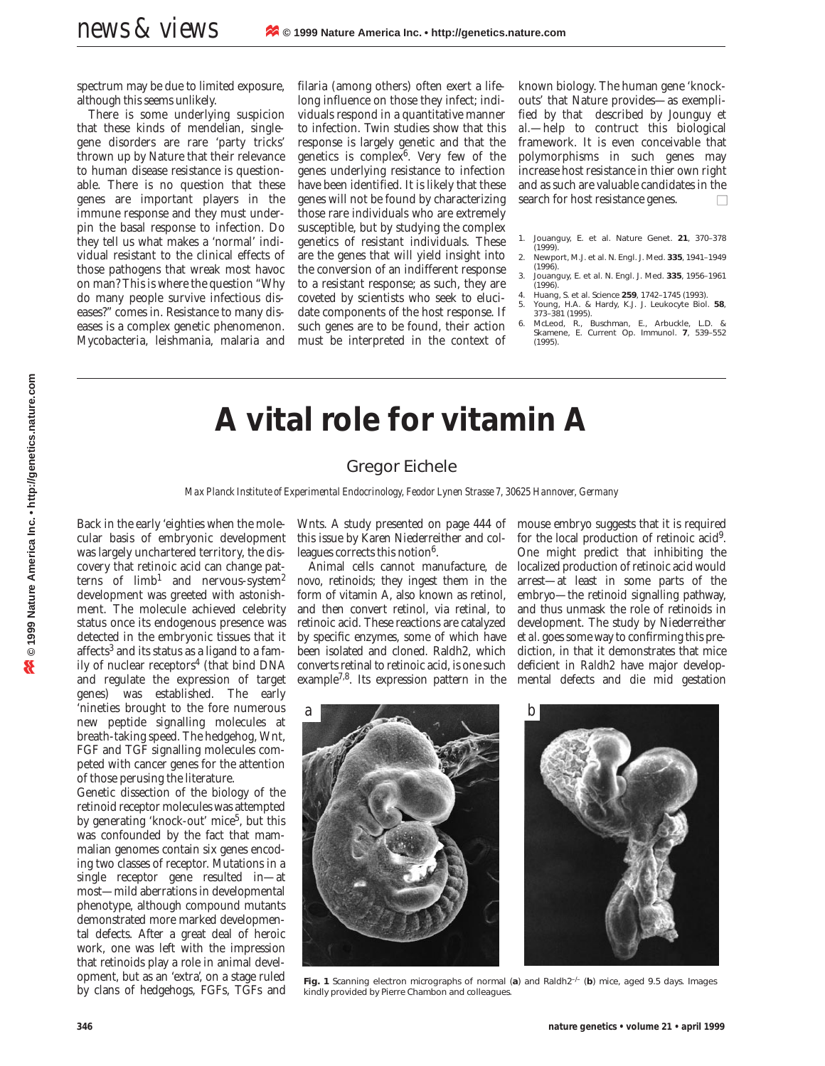spectrum may be due to limited exposure, although this seems unlikely.

There is some underlying suspicion that these kinds of mendelian, singlegene disorders are rare 'party tricks' thrown up by Nature that their relevance to human disease resistance is questionable. There is no question that these genes are important players in the immune response and they must underpin the basal response to infection. Do they tell us what makes a 'normal' individual resistant to the clinical effects of those pathogens that wreak most havoc on man? This is where the question "Why do many people survive infectious diseases?" comes in. Resistance to many diseases is a complex genetic phenomenon. Mycobacteria, leishmania, malaria and

filaria (among others) often exert a lifelong influence on those they infect; individuals respond in a quantitative manner to infection. Twin studies show that this response is largely genetic and that the genetics is complex $6$ . Very few of the genes underlying resistance to infection have been identified. It is likely that these genes will not be found by characterizing those rare individuals who are extremely susceptible, but by studying the complex genetics of resistant individuals. These are the genes that will yield insight into the conversion of an indifferent response to a resistant response; as such, they are coveted by scientists who seek to elucidate components of the host response. If such genes are to be found, their action must be interpreted in the context of

known biology. The human gene 'knockouts' that Nature provides—as exemplified by that described by Jounguy *et al.*—help to contruct this biological framework. It is even conceivable that polymorphisms in such genes may increase host resistance in thier own right and as such are valuable candidates in the search for host resistance genes.  $\Box$ 

- 1. Jouanguy, E. *et al. Nature Genet.* **21**, 370–378 (1999).
- 2. Newport, M.J. *et al. N. Engl. J. Med.* **335**, 1941–1949
- (1996). 3. Jouanguy, E. *et al. N. Engl. J. Med.* **335**, 1956–1961 (1996).
- 4. Huang, S. *et al. Science* **259**, 1742–1745 (1993). 5. Young, H.A. & Hardy, K.J. *J. Leukocyte Biol.* **58**, 373–381 (1995).
- 6. McLeod, R., Buschman, E., Arbuckle, L.D. & Skamene, E. *Current Op. Immunol.* **7**, 539–552 (1995).

## **A vital role for vitamin A**

## Gregor Eichele

*Max Planck Institute of Experimental Endocrinology, Feodor Lynen Strasse 7, 30625 Hannover, Germany*

Back in the early 'eighties when the molecular basis of embryonic development was largely unchartered territory, the discovery that retinoic acid can change patterns of  $limb<sup>1</sup>$  and nervous-system<sup>2</sup> development was greeted with astonishment. The molecule achieved celebrity status once its endogenous presence was detected in the embryonic tissues that it affects<sup>3</sup> and its status as a ligand to a family of nuclear receptors<sup>4</sup> (that bind DNA and regulate the expression of target genes) was established. The early 'nineties brought to the fore numerous new peptide signalling molecules at breath-taking speed. The hedgehog, Wnt, FGF and TGF signalling molecules competed with cancer genes for the attention of those perusing the literature.

Genetic dissection of the biology of the retinoid receptor molecules was attempted by generating 'knock-out' mice<sup>5</sup>, but this was confounded by the fact that mammalian genomes contain six genes encoding two classes of receptor. Mutations in a single receptor gene resulted in—at most—mild aberrations in developmental phenotype, although compound mutants demonstrated more marked developmental defects. After a great deal of heroic work, one was left with the impression that retinoids play a role in animal development, but as an 'extra', on a stage ruled by clans of hedgehogs, FGFs, TGFs and

Wnts. A study presented on page 444 of this issue by Karen Niederreither and colleagues corrects this notion<sup>6</sup>.

Animal cells cannot manufacture, *de novo*, retinoids; they ingest them in the form of vitamin A, also known as retinol, and then convert retinol, via retinal, to retinoic acid. These reactions are catalyzed by specific enzymes, some of which have been isolated and cloned. Raldh2, which converts retinal to retinoic acid, is one such example7,8. Its expression pattern in the

mouse embryo suggests that it is required for the local production of retinoic acid9. One might predict that inhibiting the localized production of retinoic acid would arrest—at least in some parts of the embryo—the retinoid signalling pathway, and thus unmask the role of retinoids in development. The study by Niederreither *et al.* goes some way to confirming this prediction, in that it demonstrates that mice deficient in *Raldh2* have major developmental defects and die mid gestation



**Fig. 1** Scanning electron micrographs of normal (*a*) and *Raldh2–/–* (*b*) mice, aged 9.5 days. *Images kindly provided by Pierre Chambon and colleagues.*